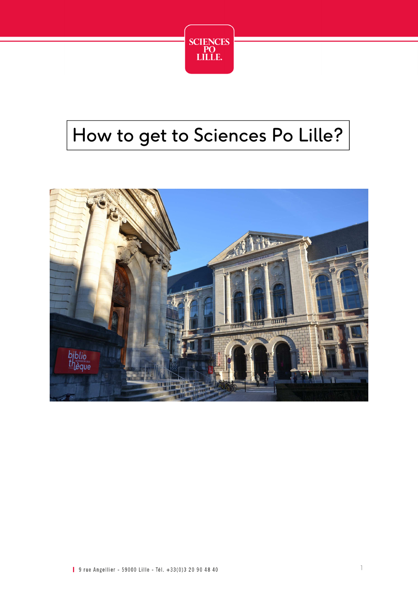

# How to get to Sciences Po Lille?

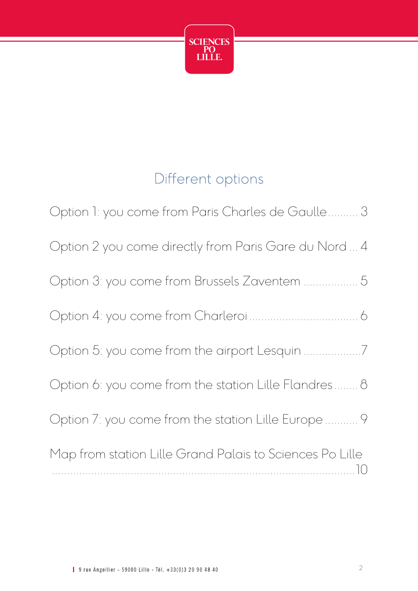

## Different options

| Option 1: you come from Paris Charles de Gaulle 3              |
|----------------------------------------------------------------|
| Option 2 you come directly from Paris Gare du Nord  4          |
| Option 3: you come from Brussels Zaventem  5                   |
|                                                                |
|                                                                |
| Option 6: you come from the station Lille Flandres 8           |
| Option 7: you come from the station Lille Europe  9            |
| Map from station Lille Grand Palais to Sciences Po Lille<br>10 |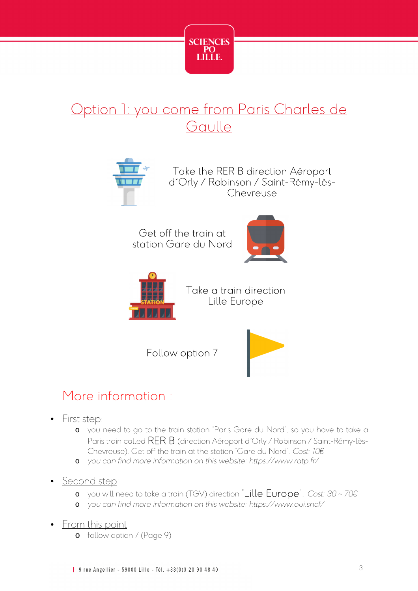

## Option 1: you come from Paris Charles de **Gaulle**



Take the RER B direction Aéroport d´Orly / Robinson / Saint-Rémy-lès-Chevreuse

Get off the train at station Gare du Nord





Take a train direction Lille Europe

Follow option 7



## More information :

- First step:
	- o you need to go to the train station "Paris Gare du Nord", so you have to take a Paris train called RER B (direction Aéroport d'Orly / Robinson / Saint-Rémy-lès-Chevreuse). Get off the train at the station "Gare du Nord". *Cost: 10€*
	- o *you can find more information on this website: https://www.ratp.fr/*
- Second step:
	- o you will need to take a train (TGV) direction "Lille Europe". *Cost: 30 ~ 70€*
	- o *you can find more information on this website: https://www.oui.sncf/*
- From this point
	- o follow option 7 (Page 9)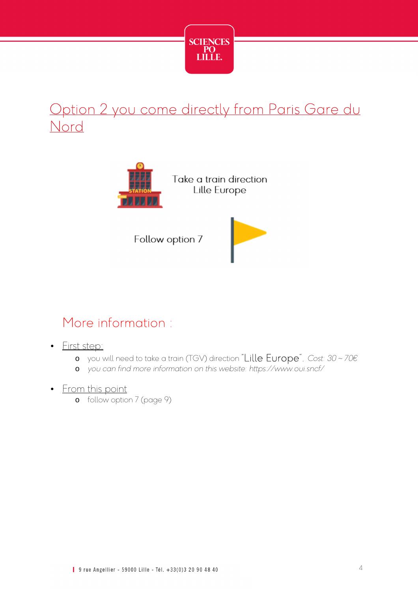

## Option 2 you come directly from Paris Gare du Nord



Take a train direction Lille Europe

Follow option 7



#### More information :

- First step:
	- o you will need to take a train (TGV) direction "Lille Europe". *Cost: 30 ~ 70€*
	- o *you can find more information on this website: https://www.oui.sncf/*
- From this point
	- o follow option 7 (page 9)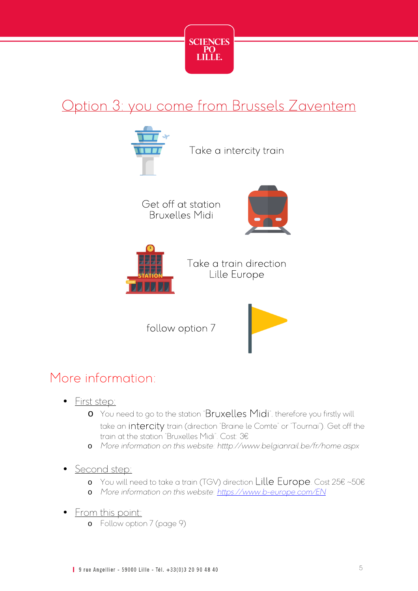

## Option 3: you come from Brussels Zaventem



#### More information:

- First step:
	- o You need to go to the station "Bruxelles Midi", therefore you firstly will take an **intercity** train (direction "Braine le Comte" or "Tournai"). Get off the train at the station "Bruxelles Midi". Cost: 3€
	- o *More information on this website: htttp://www.belgianrail.be/fr/home.aspx*
- Second step:
	- o You will need to take a train (TGV) direction Lille Europe. Cost 25€ ~50€
	- o *More information on this website*: *https://www.b-europe.com/EN*
- From this point:
	- o Follow option 7 (page 9)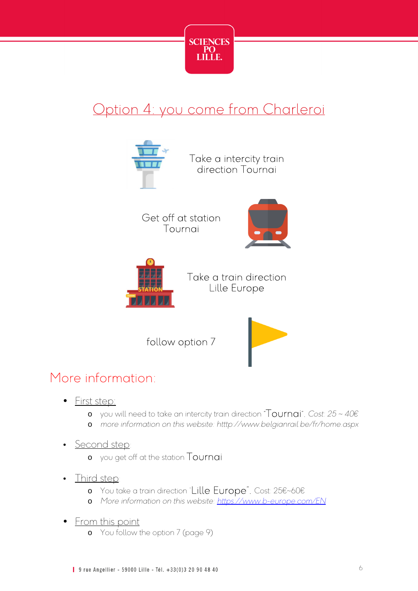

## Option 4: you come from Charleroi



#### More information:

- First step:
	- o you will need to take an intercity train direction "Tournai". *Cost: 25 ~ 40€*
	- o *more information on this website: htttp://www.belgianrail.be/fr/home.aspx*
- Second step
	- o you get off at the station Tournai
- Third step:
	- o You take a train direction "Lille Europe". Cost: 25€~60€
	- o *More information on this website: https://www.b-europe.com/EN*
- <u>From this point</u>
	- o You follow the option 7 (page 9)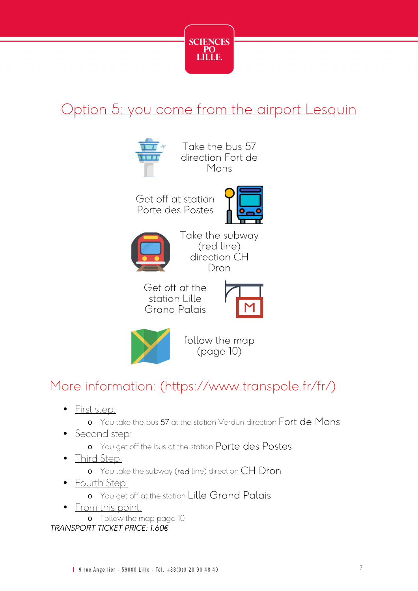

## Option 5: you come from the airport Lesquin



## More information: (https://www.transpole.fr/fr/)

- First step:
	- o You take the bus 57 at the station Verdun direction Fort de Mons
- Second step:
	- o You get off the bus at the station Porte des Postes
- Third Step:
	- o You take the subway (red line) direction CH Dron
- Fourth Step:
	- o You get off at the station Lille Grand Palais
- From this point:
	- o Follow the map page 10

*TRANSPORT TICKET PRICE: 1.60€*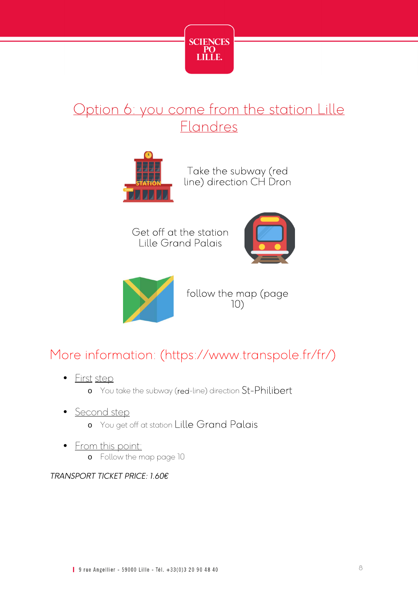

## Option 6: you come from the station Lille Flandres



Take the subway (red line) direction CH Dron

Get off at the station Lille Grand Palais





follow the map (page 10)

## More information: (https://www.transpole.fr/fr/)

- First step
	- o You take the subway (red-line) direction St-Philibert
- Second step
	- o You get off at station Lille Grand Palais
- From this point: o Follow the map page 10

*TRANSPORT TICKET PRICE: 1.60€*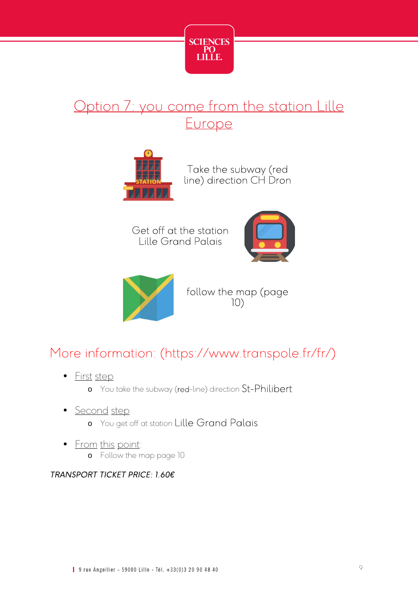

## Option 7: you come from the station Lille **Europe**



Take the subway (red line) direction CH Dron

Get off at the station Lille Grand Palais





follow the map (page 10)

## More information: (https://www.transpole.fr/fr/)

- First step
	- o You take the subway (red-line) direction St-Philibert
- Second step
	- o You get off at station Lille Grand Palais
- From this point: o Follow the map page 10

#### *TRANSPORT TICKET PRICE: 1.60€*